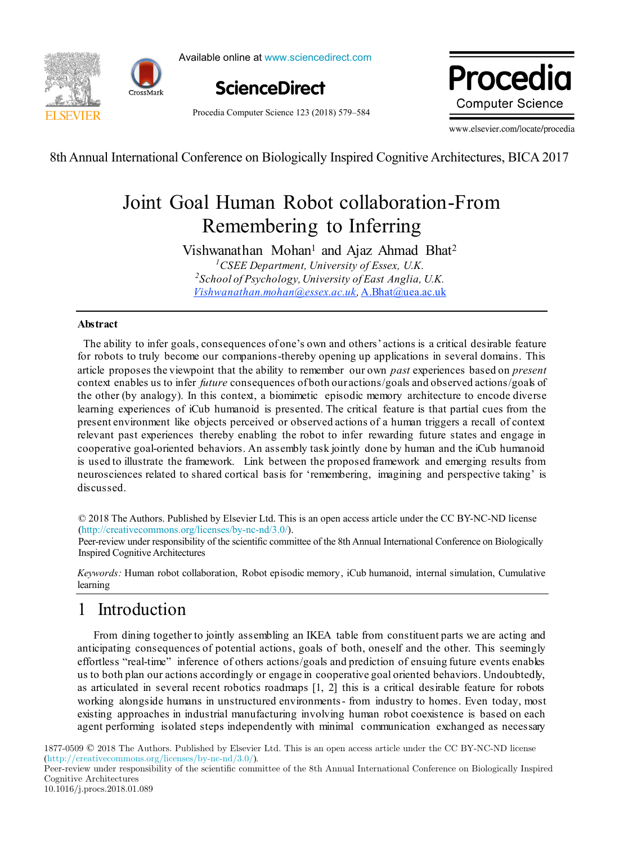

Available online at www.sciencedirect.com



Procedia Computer Science 123 (2018) 579–584

Procedia **Computer Science** 

www.elsevier.com/locate/procedia

8th Annual International Conference on Biologically Inspired Cognitive Architectures, BICA 2017

#### Joint Goal Human Robot collaboration-From  $R_{\text{reco}}$  remember in  $\epsilon$  to Inferring Joint Goal Human Robot collaboration-From Remembering to inferring Remembering to Inferring Joint Goal Human Robot collaboration-From Remembering to Inferring Remembering to Inferring

Vishwanathan Mohan<sup>1</sup> and Ajaz Ahmad Bhat<sup>2</sup> <sup>1</sup>CSEE Department, University of Essex, U.K. **2**<br><sup>2</sup> *School of Psychology, University of East Anglia, U.K. Vishwanathan.mohan@essex.ac.uk. A.Bhat@uea.ac.uk*<br>Vishwanathan.mohan@essex.ac.uk. A.Bhat@uea.ac.uk *School of Psychology, University of East Anglia, U.K.* <sup>2</sup>School of Psychology, University of East Anglia, U.K.

*Vishwanathan.mohan@essex.ac.uk,* A.Bhat@uea.ac.uk

*School of Psychology, University of East Anglia, U.K.*

#### **Abstract Abstract Abstract**

*2*

The ability to infer goals, consequences of one's own and others' actions is a critical desirable feature article proposes the viewpoint that the ability to remember our own *past* experiences based on *present* article proposes the viewpoint that the ability to remember our own *past* experiences based on *present*<br>context enables us to infer *future* consequences of both our actions/goals and observed actions/goals of context enables us to mfer *future* consequences of both our actions/goals and observed actions/goals of<br>the other (by analogy). In this context, a biomimetic episodic memory architecture to encode diverse learning experiences of iCub humanoid is presented. The critical feature is that partial cues from the learning experiences of iCub humanoid is presented. The critical feature is that partial cues from the<br>present environment like objects perceived or observed actions of a human triggers a recall of context<br>relevant nest ex present environment like objects perceived or observed actions of a human triggers a recall of context<br>relevant past experiences thereby enabling the robot to infer rewarding future states and engage in relevant past experiences thereby enabling the robot to inter rewarding future states and engage in<br>cooperative goal-oriented behaviors. An assembly task jointly done by human and the iCub humanoid is used to illustrate the framework. Link between the proposed framework and emerging results from neurosciences related to shared cortical basis for 'remembering, imagining and perspective taking' is discussed. Link between the framework. Link between the proposed framework and emerging results from emerging results from  $\mathbb{R}$ relevant past experiences thereby enable the robot to infer rewarding the robot to infer rewarding future states and engage in  $\mathbb{R}^n$ neurosciences related to shared cortical basis for 'remembering, imagining and perspective taking' is<br>discussed  $r_{\text{reco}}$  the robot to inferred rewarding the robot to inferred rewarding function  $r_{\text{reco}}$ for robots to truly become our companions-thereby opening up applications in several domains. This discussed. discussed. neurosciences related to shared cortical basis for 'remembering, imagining and perspective taking' is<br>discussed. neurosciences relations relations relations for 'remembering, in 'remembering, in 'remembering' is not 'remembering' is not 'remembering, in 'remembering' is not 'remembering' is not 'remembering' is not 'remembering' is n **Joint Goal Human Robot collaboration-From**<br>
Remembering to Inferring<br>
Vishwarathan Mohan<sup>1</sup> and Ajaz Ahmad Bhat<sup>2</sup><br>
"*CSEE Department, University of Essa t, U.K.*<br> *Pishuanathan mohanigenses, to inversity of Essa t, usef* cooperative goal-oriented behaviors. An assembly task jointly done by human and the iCub humanoid<br>is used to illustrate the framework. Link between the proposed framework and emerging results from<br>neurosciences related to cooperative goal-oriented behaviors. An assembly task jointly done by humanoid is used to illustrate the framework. Link between the framework and emerging results framework and emerging results from  $\mathbb{R}$  results from

© 2018 The Authors. Published by Elsevier Ltd. This is an open access article under the CC BY-NC-ND license Learning and *Katholicenses and Collaboration*, The *Reading Collaboration*, Reading the *Reading Chttp://creativecommons.org/licenses/by-nc-nd/3.0/).*  $\approx$  2010 The Number of Slaborary Euclidean and perspective taking and perspective taking interesting and perspective taking  $\eta d/2$  ( $\Delta$ ). cooperative goal-oriented behaviors. An assembly task jointly done by human and the iCub humanoid © 2018 The Authors. Published by Elsevier Ltd. This is an open access article under the CC BY-NC-ND license

(http://creativecommons.org/ncenses/by-nc-nd/5.0/).<br>Peer-review under responsibility of the scientific committee of the 8th Annual International Conference on Biologically Inspired Cognitive Architectures<br>Inspired Cognitive Architectures

Keywords: Human robot collaboration, Robot episodic memory, iCub humanoid, internal simulation, Cumulative learning learning<br>
1  $\mathbf{r}$ 

#### 1 Introduction From dining together to jointly assembling an IKEA table from constituent parts we are acting and 1 Introduction

From dining together to jointly assembling an IKEA table from constituent parts we are acting and From aming together to jointly assembling an IKEA table from constituent parts we are acting and anticipating consequences of potential actions, goals of both, oneself and the other. This seemingly effortless "real-time" inference of others actions/goals and prediction of ensuing future events enables us to both plan our actions accordingly or engage in cooperative goal oriented behaviors. Undoubtedly, as articulated in several recent robotics roadmaps [1, 2] this is a critical desirable feature for robots working alongside humans in unstructured environments-from industry to homes. Even today, most existing approaches in industrial manufacturing involving human robot coexistence is based on each agent performing isolated steps independently with minimal communication exchanged as necessary existing approaches in industrial manufacturing involving human robot coexistence is based on each  $\epsilon$ existing approaches in industrial manufacturing involving human robot coexistence is based on each<br>agent performing isolated steps independently with minimal communication exchanged as necessary anticipating consequences of potential actions, goals of both, oneself and the other. This seemingly<br>effortless "real-time" inference of others actions/goals and prediction of ensuing future events enables working alongside humans in unstructured environments- from industry to homes. Even today, most 1 <del>Introduction</del>

1877-0509 © 2018 The Authors. Published by Elsevier Ltd. This is an open access article under the CC BY-NC-ND license (http://creativecommons.org/licenses/by-nc-nd/3.0/).

Peer-review under responsibility of the scientific committee of the 8th Annual International Conference on Biologically Inspired Cognitive Architectures

<sup>10.1016/</sup>j.procs.2018.01.089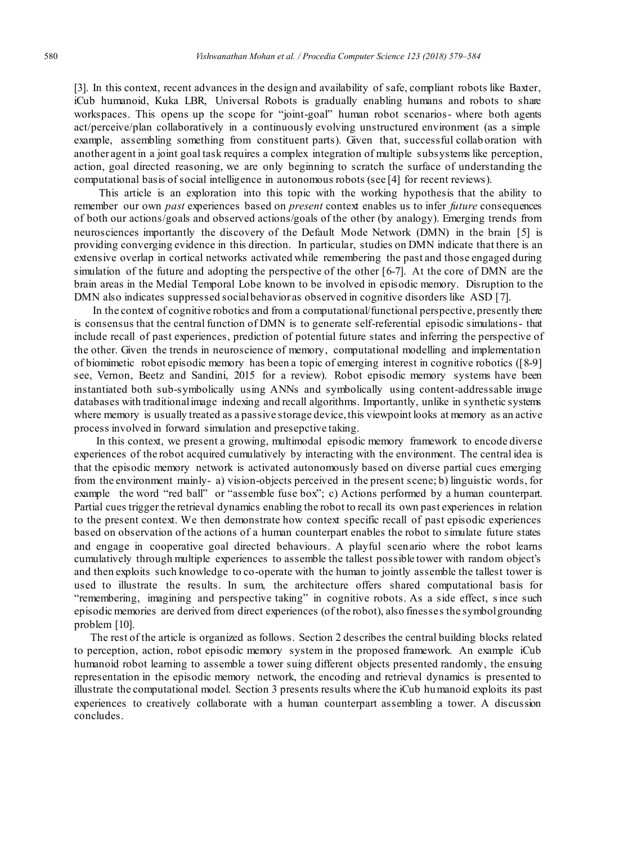[3]. In this context, recent advances in the design and availability of safe, compliant robots like Baxter, iCub humanoid, Kuka LBR, Universal Robots is gradually enabling humans and robots to share workspaces. This opens up the scope for "joint-goal" human robot scenarios- where both agents act/perceive/plan collaboratively in a continuously evolving unstructured environment (as a simple example, assembling something from constituent parts). Given that, successful collab oration with another agent in a joint goal task requires a complex integration of multiple subsystems like perception, action, goal directed reasoning, we are only beginning to scratch the surface of understanding the computational basis of social intelligence in autonomous robots (see [4] for recent reviews).

 This article is an exploration into this topic with the working hypothesis that the ability to remember our own *past* experiences based on *present* context enables us to infer *future* consequences of both our actions/goals and observed actions/goals of the other (by analogy). Emerging trends from neurosciences importantly the discovery of the Default Mode Network (DMN) in the brain [5] is providing converging evidence in this direction. In particular, studies on DMN indicate that there is an extensive overlap in cortical networks activated while remembering the past and those engaged during simulation of the future and adopting the perspective of the other [6-7]. At the core of DMN are the brain areas in the Medial Temporal Lobe known to be involved in episodic memory. Disruption to the DMN also indicates suppressed social behavior as observed in cognitive disorders like ASD [7].

In the context of cognitive robotics and from a computational/functional perspective, presently there is consensus that the central function of DMN is to generate self-referential episodic simulations- that include recall of past experiences, prediction of potential future states and inferring the perspective of the other. Given the trends in neuroscience of memory, computational modelling and implementation of biomimetic robot episodic memory has been a topic of emerging interest in cognitive robotics ([8-9] see, Vernon, Beetz and Sandini, 2015 for a review). Robot episodic memory systems have been instantiated both sub-symbolically using ANNs and symbolically using content-addressable image databases with traditional image indexing and recall algorithms. Importantly, unlike in synthetic systems where memory is usually treated as a passive storage device, this viewpoint looks at memory as an active process involved in forward simulation and presepctive taking.

 In this context, we present a growing, multimodal episodic memory framework to encode diverse experiences of the robot acquired cumulatively by interacting with the environment. The central idea is that the episodic memory network is activated autonomously based on diverse partial cues emerging from the environment mainly- a) vision-objects perceived in the present scene; b) linguistic words, for example the word "red ball" or "assemble fuse box"; c) Actions performed by a human counterpart. Partial cues trigger the retrieval dynamics enabling the robot to recall its own past experiences in relation to the present context. We then demonstrate how context specific recall of past episodic experiences based on observation of the actions of a human counterpart enables the robot to simulate future states and engage in cooperative goal directed behaviours. A playful scenario where the robot learns cumulatively through multiple experiences to assemble the tallest possible tower with random object's and then exploits such knowledge to co-operate with the human to jointly assemble the tallest tower is used to illustrate the results. In sum, the architecture offers shared computational basis for "remembering, imagining and perspective taking" in cognitive robots. As a side effect, since such episodic memories are derived from direct experiences (of the robot), also finesses the symbol grounding problem [10].

The rest of the article is organized as follows. Section 2 describes the central building blocks related to perception, action, robot episodic memory system in the proposed framework. An example iCub humanoid robot learning to assemble a tower suing different objects presented randomly, the ensuing representation in the episodic memory network, the encoding and retrieval dynamics is presented to illustrate the computational model. Section 3 presents results where the iCub humanoid exploits its past experiences to creatively collaborate with a human counterpart assembling a tower. A discussion concludes.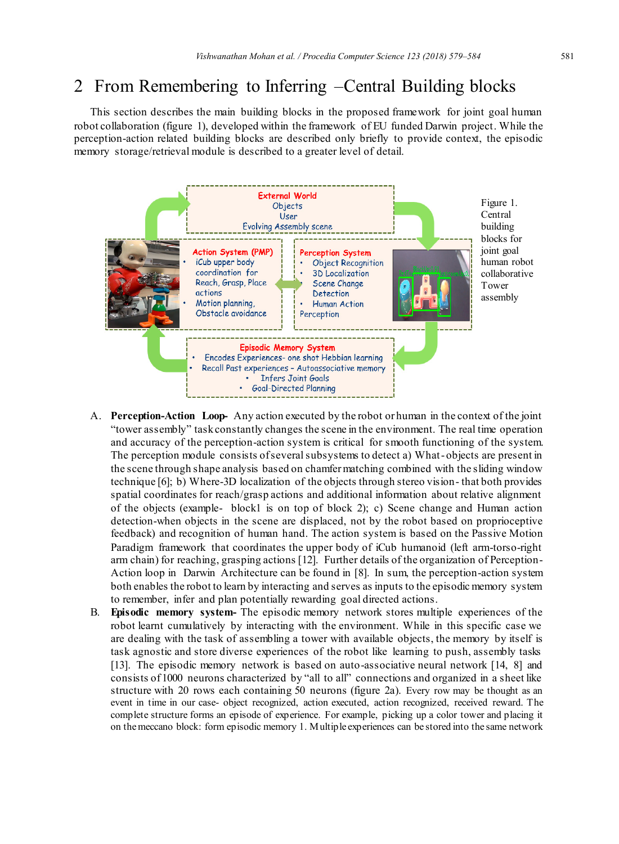# 2 From Remembering to Inferring –Central Building blocks

This section describes the main building blocks in the proposed framework for joint goal human robot collaboration (figure 1), developed within the framework of EU funded Darwin project. While the perception-action related building blocks are described only briefly to provide context, the episodic memory storage/retrieval module is described to a greater level of detail.



- A. **Perception-Action Loop-** Any action executed by the robot or human in the context of the joint "tower assembly" task constantly changes the scene in the environment. The real time operation and accuracy of the perception-action system is critical for smooth functioning of the system. The perception module consists of several subsystems to detect a) What- objects are present in the scene through shape analysis based on chamfer matching combined with the sliding window technique [6]; b) Where-3D localization of the objects through stereo vision- that both provides spatial coordinates for reach/grasp actions and additional information about relative alignment of the objects (example- block1 is on top of block 2); c) Scene change and Human action detection-when objects in the scene are displaced, not by the robot based on proprioceptive feedback) and recognition of human hand. The action system is based on the Passive Motion Paradigm framework that coordinates the upper body of iCub humanoid (left arm-torso-right arm chain) for reaching, grasping actions [12]. Further details of the organization of Perception-Action loop in Darwin Architecture can be found in [8]. In sum, the perception-action system both enables the robot to learn by interacting and serves as inputs to the episodic memory system to remember, infer and plan potentially rewarding goal directed actions.
- B. **Episodic memory system-** The episodic memory network stores multiple experiences of the robot learnt cumulatively by interacting with the environment. While in this specific case we are dealing with the task of assembling a tower with available objects, the memory by itself is task agnostic and store diverse experiences of the robot like learning to push, assembly tasks [13]. The episodic memory network is based on auto-associative neural network [14, 8] and consists of 1000 neurons characterized by "all to all" connections and organized in a sheet like structure with 20 rows each containing 50 neurons (figure 2a). Every row may be thought as an event in time in our case- object recognized, action executed, action recognized, received reward. The complete structure forms an episode of experience. For example, picking up a color tower and placing it on the meccano block: form episodic memory 1. Multiple experiences can be stored into the same network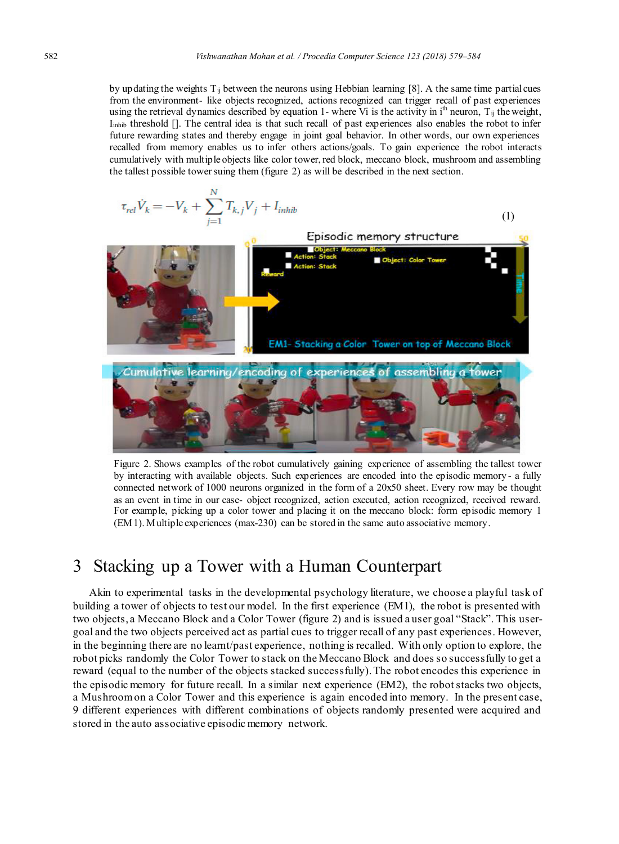by updating the weights  $T_{ii}$  between the neurons using Hebbian learning [8]. A the same time partial cues from the environment- like objects recognized, actions recognized can trigger recall of past experiences using the retrieval dynamics described by equation 1- where Vi is the activity in  $i<sup>th</sup>$  neuron, T<sub>ij</sub> the weight, I<sub>inhib</sub> threshold []. The central idea is that such recall of past experiences also enables the robot to infer future rewarding states and thereby engage in joint goal behavior. In other words, our own experiences recalled from memory enables us to infer others actions/goals. To gain experience the robot interacts cumulatively with multiple objects like color tower, red block, meccano block, mushroom and assembling the tallest possible tower suing them (figure 2) as will be described in the next section.



Figure 2. Shows examples of the robot cumulatively gaining experience of assembling the tallest tower by interacting with available objects. Such experiences are encoded into the episodic memory - a fully connected network of 1000 neurons organized in the form of a 20x50 sheet. Every row may be thought as an event in time in our case- object recognized, action executed, action recognized, received reward. For example, picking up a color tower and placing it on the meccano block: form episodic memory 1 (EM1). Multiple experiences (max-230) can be stored in the same auto associative memory.

## 3 Stacking up a Tower with a Human Counterpart

Akin to experimental tasks in the developmental psychology literature, we choose a playful task of building a tower of objects to test our model. In the first experience (EM1), the robot is presented with two objects, a Meccano Block and a Color Tower (figure 2) and is issued a user goal "Stack". This usergoal and the two objects perceived act as partial cues to trigger recall of any past experiences. However, in the beginning there are no learnt/past experience, nothing is recalled. With only option to explore, the robot picks randomly the Color Tower to stack on the Meccano Block and does so successfully to get a reward (equal to the number of the objects stacked successfully). The robot encodes this experience in the episodic memory for future recall. In a similar next experience (EM2), the robot stacks two objects, a Mushroom on a Color Tower and this experience is again encoded into memory. In the present case, 9 different experiences with different combinations of objects randomly presented were acquired and stored in the auto associative episodic memory network.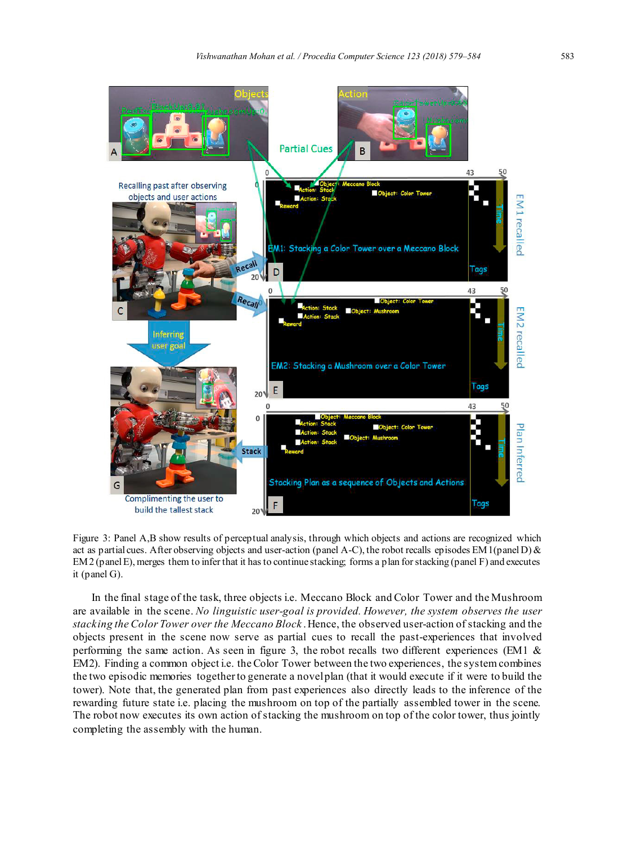

Figure 3: Panel A,B show results of perceptual analysis, through which objects and actions are recognized which act as partial cues. After observing objects and user-action (panel A-C), the robot recalls episodes EM1(panel D)  $\&$ EM2 (panel E), merges them to infer that it has to continue stacking; forms a plan for stacking (panel F) and executes it (panel G).

In the final stage of the task, three objects i.e. Meccano Block and Color Tower and the Mushroom are available in the scene. *No linguistic user-goal is provided. However, the system observes the user stacking the Color Tower over the Meccano Block* . Hence, the observed user-action of stacking and the objects present in the scene now serve as partial cues to recall the past-experiences that involved performing the same action. As seen in figure 3, the robot recalls two different experiences (EM1 & EM2). Finding a common object i.e. the Color Tower between the two experiences, the system combines the two episodic memories together to generate a novel plan (that it would execute if it were to build the tower). Note that, the generated plan from past experiences also directly leads to the inference of the rewarding future state i.e. placing the mushroom on top of the partially assembled tower in the scene. The robot now executes its own action of stacking the mushroom on top of the color tower, thus jointly completing the assembly with the human.